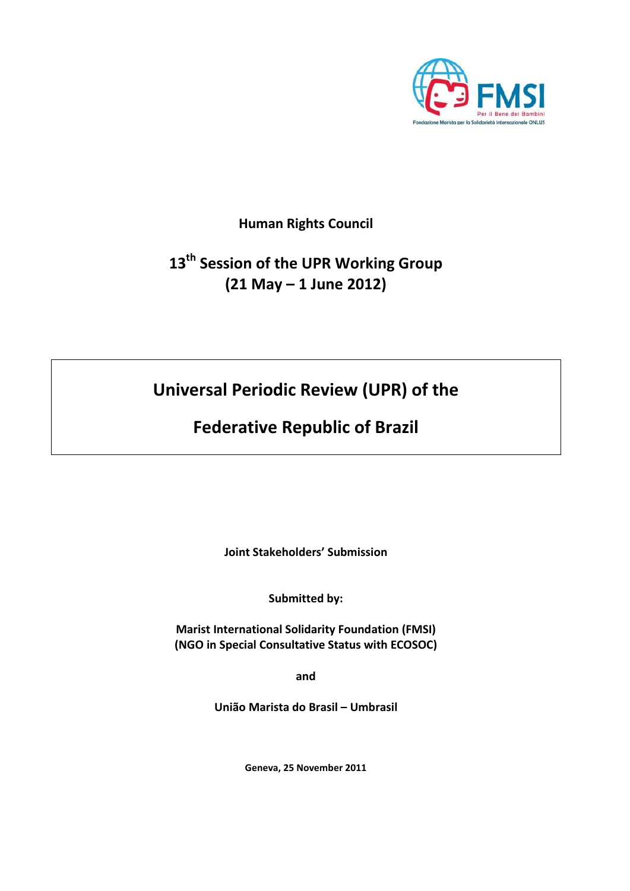

**Human Rights Council**

# **13th Session of the UPR Working Group (21 May – 1 June 2012)**

**Universal Periodic Review (UPR) of the**

**Federative Republic of Brazil**

**Joint Stakeholders' Submission**

**Submitted by:**

**Marist International Solidarity Foundation (FMSI) (NGO in Special Consultative Status with ECOSOC)**

**and** 

**União Marista do Brasil – Umbrasil**

**Geneva, 25 November 2011**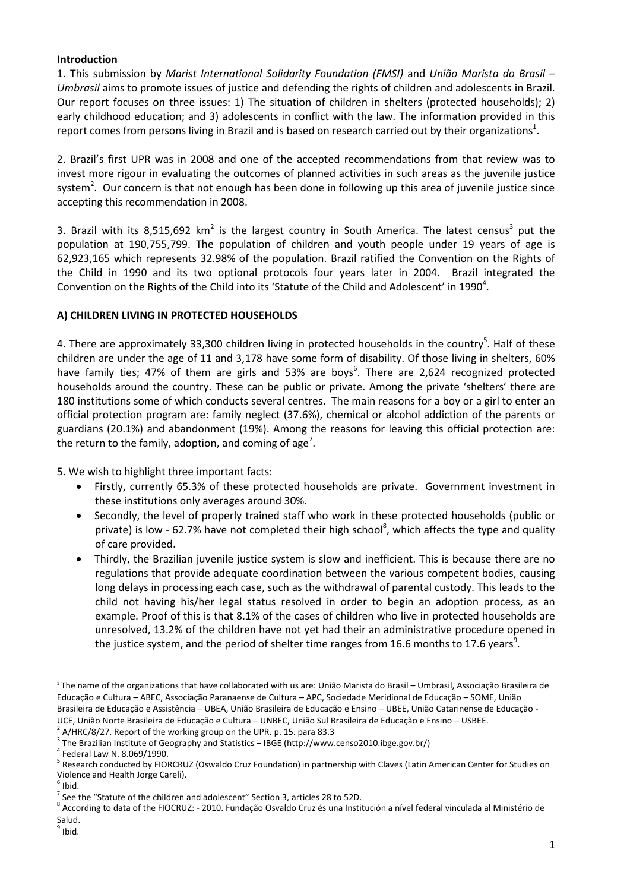### **Introduction**

1. This submission by *Marist International Solidarity Foundation (FMSI)* and *União Marista do Brasil – Umbrasil* aims to promote issues of justice and defending the rights of children and adolescents in Brazil. Our report focuses on three issues: 1) The situation of children in shelters (protected households); 2) early childhood education; and 3) adolescents in conflict with the law. The information provided in this report comes from persons living in Brazil and is based on research carried out by their organizations<sup>1</sup>.

2. Brazil's first UPR was in 2008 and one of the accepted recommendations from that review was to invest more rigour in evaluating the outcomes of planned activities in such areas as the juvenile justice system<sup>2</sup>. Our concern is that not enough has been done in following up this area of juvenile justice since accepting this recommendation in 2008.

3. Brazil with its 8,515,692 km<sup>2</sup> is the largest country in South America. The latest census<sup>3</sup> put the population at 190,755,799. The population of children and youth people under 19 years of age is 62,923,165 which represents 32.98% of the population. Brazil ratified the Convention on the Rights of the Child in 1990 and its two optional protocols four years later in 2004. Brazil integrated the Convention on the Rights of the Child into its 'Statute of the Child and Adolescent' in 1990<sup>4</sup>.

# **A) CHILDREN LIVING IN PROTECTED HOUSEHOLDS**

4. There are approximately 33,300 children living in protected households in the country<sup>5</sup>. Half of these children are under the age of 11 and 3,178 have some form of disability. Of those living in shelters, 60% have family ties; 47% of them are girls and 53% are boys<sup>6</sup>. There are 2,624 recognized protected households around the country. These can be public or private. Among the private 'shelters' there are 180 institutions some of which conducts several centres. The main reasons for a boy or a girl to enter an official protection program are: family neglect (37.6%), chemical or alcohol addiction of the parents or guardians (20.1%) and abandonment (19%). Among the reasons for leaving this official protection are: the return to the family, adoption, and coming of age<sup>7</sup>.

5. We wish to highlight three important facts:

- Firstly, currently 65.3% of these protected households are private. Government investment in these institutions only averages around 30%.
- Secondly, the level of properly trained staff who work in these protected households (public or private) is low - 62.7% have not completed their high school<sup>8</sup>, which affects the type and quality of care provided.
- Thirdly, the Brazilian juvenile justice system is slow and inefficient. This is because there are no regulations that provide adequate coordination between the various competent bodies, causing long delays in processing each case, such as the withdrawal of parental custody. This leads to the child not having his/her legal status resolved in order to begin an adoption process, as an example. Proof of this is that 8.1% of the cases of children who live in protected households are unresolved, 13.2% of the children have not yet had their an administrative procedure opened in the justice system, and the period of shelter time ranges from 16.6 months to 17.6 years<sup>9</sup>.

2 A/HRC/8/27. Report of the working group on the UPR. p. 15. para 83.3

 $\ddot{\phantom{a}}$ 

<sup>1</sup> The name of the organizations that have collaborated with us are: União Marista do Brasil – Umbrasil, Associação Brasileira de Educação e Cultura – ABEC, Associação Paranaense de Cultura – APC, Sociedade Meridional de Educação – SOME, União Brasileira de Educação e Assistência – UBEA, União Brasileira de Educação e Ensino – UBEE, União Catarinense de Educação - UCE, União Norte Brasileira de Educação e Cultura – UNBEC, União Sul Brasileira de Educação e Ensino – USBEE.

<sup>&</sup>lt;sup>3</sup> The Brazilian Institute of Geography and Statistics – IBGE [\(http://www.censo2010.ibge.gov.br/\)](http://www.censo2010.ibge.gov.br/)

<sup>4</sup> Federal Law N. 8.069/1990.

<sup>&</sup>lt;sup>5</sup> Research conducted by FIORCRUZ (Oswaldo Cruz Foundation) in partnership with Claves (Latin American Center for Studies on Violence and Health Jorge Careli).

 $<sup>6</sup>$  Ibid.</sup>

 $^7$  See the "Statute of the children and adolescent" Section 3, articles 28 to 52D.

<sup>8</sup> According to data of the FIOCRUZ: - 2010. Fundação Osvaldo Cruz és una Institución a nível federal vinculada al Ministério de Salud.

<sup>&</sup>lt;sup>9</sup> Ibid.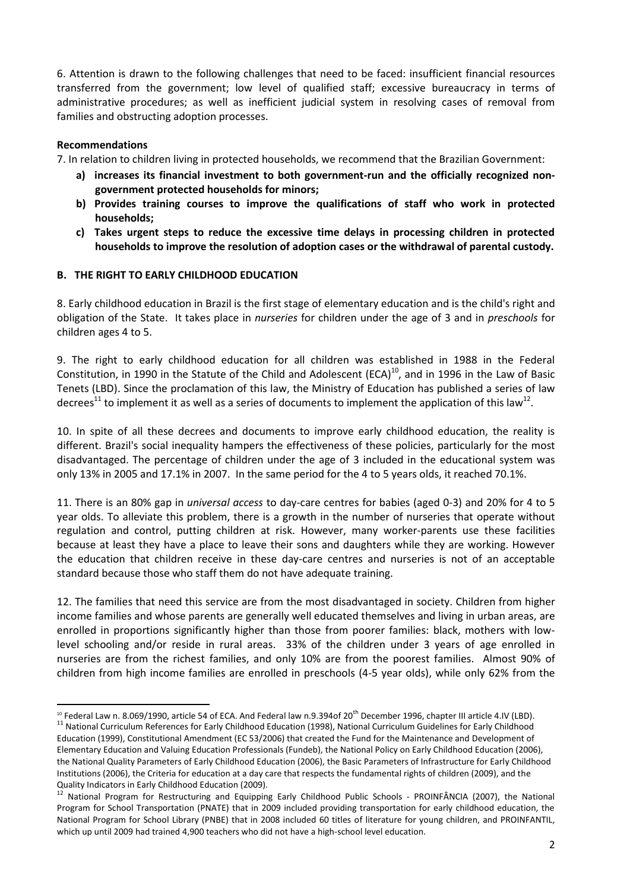6. Attention is drawn to the following challenges that need to be faced: insufficient financial resources transferred from the government; low level of qualified staff; excessive bureaucracy in terms of administrative procedures; as well as inefficient judicial system in resolving cases of removal from families and obstructing adoption processes.

## **Recommendations**

7. In relation to children living in protected households, we recommend that the Brazilian Government:

- **a) increases its financial investment to both government-run and the officially recognized nongovernment protected households for minors;**
- **b) Provides training courses to improve the qualifications of staff who work in protected households;**
- **c) Takes urgent steps to reduce the excessive time delays in processing children in protected households to improve the resolution of adoption cases or the withdrawal of parental custody.**

## **B. THE RIGHT TO EARLY CHILDHOOD EDUCATION**

8. Early childhood education in Brazil is the first stage of elementary education and is the child's right and obligation of the State. It takes place in *nurseries* for children under the age of 3 and in *preschools* for children ages 4 to 5.

9. The right to early childhood education for all children was established in 1988 in the Federal Constitution, in 1990 in the Statute of the Child and Adolescent (ECA) $^{10}$ , and in 1996 in the Law of Basic Tenets (LBD). Since the proclamation of this law, the Ministry of Education has published a series of law decrees<sup>11</sup> to implement it as well as a series of documents to implement the application of this law<sup>12</sup>.

10. In spite of all these decrees and documents to improve early childhood education, the reality is different. Brazil's social inequality hampers the effectiveness of these policies, particularly for the most disadvantaged. The percentage of children under the age of 3 included in the educational system was only 13% in 2005 and 17.1% in 2007. In the same period for the 4 to 5 years olds, it reached 70.1%.

11. There is an 80% gap in *universal access* to day-care centres for babies (aged 0-3) and 20% for 4 to 5 year olds. To alleviate this problem, there is a growth in the number of nurseries that operate without regulation and control, putting children at risk. However, many worker-parents use these facilities because at least they have a place to leave their sons and daughters while they are working. However the education that children receive in these day-care centres and nurseries is not of an acceptable standard because those who staff them do not have adequate training.

12. The families that need this service are from the most disadvantaged in society. Children from higher income families and whose parents are generally well educated themselves and living in urban areas, are enrolled in proportions significantly higher than those from poorer families: black, mothers with lowlevel schooling and/or reside in rural areas. 33% of the children under 3 years of age enrolled in nurseries are from the richest families, and only 10% are from the poorest families. Almost 90% of children from high income families are enrolled in preschools (4-5 year olds), while only 62% from the

 $\overline{a}$  $10$  Federal Law n. 8.069/1990, article 54 of ECA. And Federal law n.9.394of 20<sup>th</sup> December 1996, chapter III article 4.IV (LBD).

<sup>&</sup>lt;sup>11</sup> National Curriculum References for Early Childhood Education (1998), National Curriculum Guidelines for Early Childhood Education (1999), Constitutional Amendment (EC 53/2006) that created the Fund for the Maintenance and Development of Elementary Education and Valuing Education Professionals (Fundeb), the National Policy on Early Childhood Education (2006), the National Quality Parameters of Early Childhood Education (2006), the Basic Parameters of Infrastructure for Early Childhood Institutions (2006), the Criteria for education at a day care that respects the fundamental rights of children (2009), and the Quality Indicators in Early Childhood Education (2009).

<sup>&</sup>lt;sup>12</sup> National Program for Restructuring and Equipping Early Childhood Public Schools - PROINFÂNCIA (2007), the National Program for School Transportation (PNATE) that in 2009 included providing transportation for early childhood education, the National Program for School Library (PNBE) that in 2008 included 60 titles of literature for young children, and PROINFANTIL, which up until 2009 had trained 4,900 teachers who did not have a high-school level education.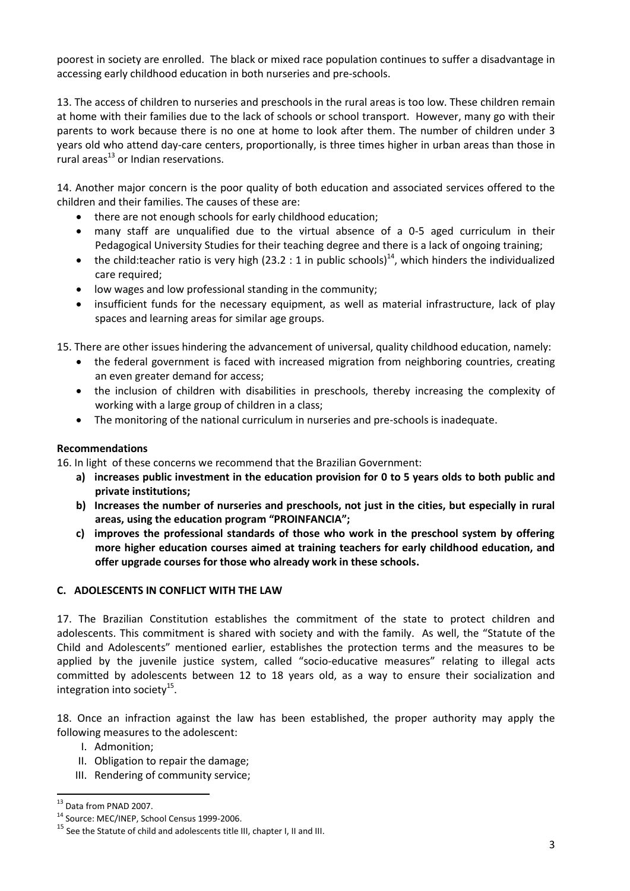poorest in society are enrolled. The black or mixed race population continues to suffer a disadvantage in accessing early childhood education in both nurseries and pre-schools.

13. The access of children to nurseries and preschools in the rural areas is too low. These children remain at home with their families due to the lack of schools or school transport. However, many go with their parents to work because there is no one at home to look after them. The number of children under 3 years old who attend day-care centers, proportionally, is three times higher in urban areas than those in rural areas $^{13}$  or Indian reservations.

14. Another major concern is the poor quality of both education and associated services offered to the children and their families. The causes of these are:

- there are not enough schools for early childhood education;
- many staff are unqualified due to the virtual absence of a 0-5 aged curriculum in their Pedagogical University Studies for their teaching degree and there is a lack of ongoing training;
- the child:teacher ratio is very high (23.2 : 1 in public schools)<sup>14</sup>, which hinders the individualized care required;
- low wages and low professional standing in the community;
- insufficient funds for the necessary equipment, as well as material infrastructure, lack of play spaces and learning areas for similar age groups.

15. There are other issues hindering the advancement of universal, quality childhood education, namely:

- the federal government is faced with increased migration from neighboring countries, creating an even greater demand for access;
- the inclusion of children with disabilities in preschools, thereby increasing the complexity of working with a large group of children in a class;
- The monitoring of the national curriculum in nurseries and pre-schools is inadequate.

### **Recommendations**

16. In light of these concerns we recommend that the Brazilian Government:

- **a) increases public investment in the education provision for 0 to 5 years olds to both public and private institutions;**
- **b) Increases the number of nurseries and preschools, not just in the cities, but especially in rural areas, using the education program "PROINFANCIA";**
- **c) improves the professional standards of those who work in the preschool system by offering more higher education courses aimed at training teachers for early childhood education, and offer upgrade courses for those who already work in these schools.**

# **C. ADOLESCENTS IN CONFLICT WITH THE LAW**

17. The Brazilian Constitution establishes the commitment of the state to protect children and adolescents. This commitment is shared with society and with the family. As well, the "Statute of the Child and Adolescents" mentioned earlier, establishes the protection terms and the measures to be applied by the juvenile justice system, called "socio-educative measures" relating to illegal acts committed by adolescents between 12 to 18 years old, as a way to ensure their socialization and integration into society $^{15}$ .

18. Once an infraction against the law has been established, the proper authority may apply the following measures to the adolescent:

- I. Admonition;
- II. Obligation to repair the damage;
- III. Rendering of community service;

 $\overline{a}$ 

<sup>&</sup>lt;sup>13</sup> Data from PNAD 2007.

<sup>14</sup> Source: MEC/INEP, School Census 1999-2006.

 $15$  See the Statute of child and adolescents title III, chapter I, II and III.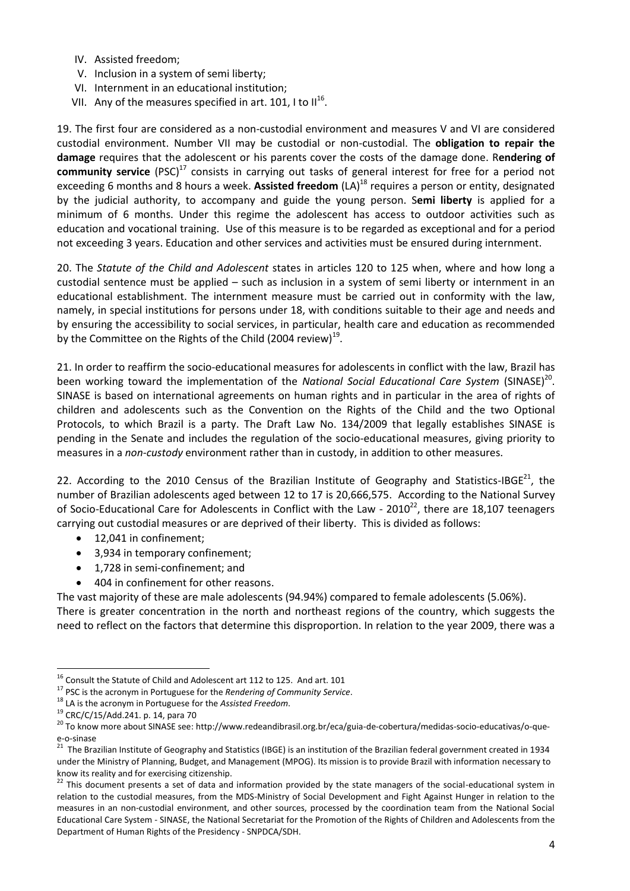- IV. Assisted freedom;
- V. Inclusion in a system of semi liberty;
- VI. Internment in an educational institution;
- VII. Any of the measures specified in art. 101, I to II<sup>16</sup>.

19. The first four are considered as a non-custodial environment and measures V and VI are considered custodial environment. Number VII may be custodial or non-custodial. The **obligation to repair the damage** requires that the adolescent or his parents cover the costs of the damage done. R**endering of community service** (PSC)<sup>17</sup> consists in carrying out tasks of general interest for free for a period not exceeding 6 months and 8 hours a week. **Assisted freedom** (LA)<sup>18</sup> requires a person or entity, designated by the judicial authority, to accompany and guide the young person. S**emi liberty** is applied for a minimum of 6 months. Under this regime the adolescent has access to outdoor activities such as education and vocational training. Use of this measure is to be regarded as exceptional and for a period not exceeding 3 years. Education and other services and activities must be ensured during internment.

20. The *Statute of the Child and Adolescent* states in articles 120 to 125 when, where and how long a custodial sentence must be applied – such as inclusion in a system of semi liberty or internment in an educational establishment. The internment measure must be carried out in conformity with the law, namely, in special institutions for persons under 18, with conditions suitable to their age and needs and by ensuring the accessibility to social services, in particular, health care and education as recommended by the Committee on the Rights of the Child (2004 review)<sup>19</sup>.

21. In order to reaffirm the socio-educational measures for adolescents in conflict with the law, Brazil has been working toward the implementation of the National Social Educational Care System (SINASE)<sup>20</sup>. SINASE is based on international agreements on human rights and in particular in the area of rights of children and adolescents such as the Convention on the Rights of the Child and the two Optional Protocols, to which Brazil is a party. The Draft Law No. 134/2009 that legally establishes SINASE is pending in the Senate and includes the regulation of the socio-educational measures, giving priority to measures in a *non-custody* environment rather than in custody, in addition to other measures.

22. According to the 2010 Census of the Brazilian Institute of Geography and Statistics-IBGE<sup>21</sup>, the number of Brazilian adolescents aged between 12 to 17 is 20,666,575. According to the National Survey of Socio-Educational Care for Adolescents in Conflict with the Law -  $2010^{22}$ , there are 18,107 teenagers carrying out custodial measures or are deprived of their liberty. This is divided as follows:

- 12,041 in confinement;
- 3,934 in temporary confinement;
- 1,728 in semi-confinement; and
- 404 in confinement for other reasons.

The vast majority of these are male adolescents (94.94%) compared to female adolescents (5.06%). There is greater concentration in the north and northeast regions of the country, which suggests the need to reflect on the factors that determine this disproportion. In relation to the year 2009, there was a

 $\ddot{\phantom{a}}$ 

 $^{16}$  Consult the Statute of Child and Adolescent art 112 to 125. And art. 101

<sup>17</sup> PSC is the acronym in Portuguese for the *Rendering of Community Service*.

<sup>18</sup> LA is the acronym in Portuguese for the *Assisted Freedom*.

<sup>19</sup> CRC/C/15/Add.241. p. 14, para 70

<sup>&</sup>lt;sup>20</sup> To know more about SINASE see[: http://www.redeandibrasil.org.br/eca/guia-de-cobertura/medidas-socio-educativas/o-que](http://www.redeandibrasil.org.br/eca/guia-de-cobertura/medidas-socio-educativas/o-que-e-o-sinase)[e-o-sinase](http://www.redeandibrasil.org.br/eca/guia-de-cobertura/medidas-socio-educativas/o-que-e-o-sinase)

<sup>&</sup>lt;sup>21</sup> The Brazilian Institute of Geography and Statistics (IBGE) is an institution of the Brazilian federal government created in 1934 under the Ministry of Planning, Budget, and Management (MPOG). Its mission is to provide Brazil with information necessary to know its reality and for exercising citizenship.

<sup>&</sup>lt;sup>22</sup> This document presents a set of data and information provided by the state managers of the social-educational system in relation to the custodial measures, from the MDS-Ministry of Social Development and Fight Against Hunger in relation to the measures in an non-custodial environment, and other sources, processed by the coordination team from the National Social Educational Care System - SINASE, the National Secretariat for the Promotion of the Rights of Children and Adolescents from the Department of Human Rights of the Presidency - SNPDCA/SDH.